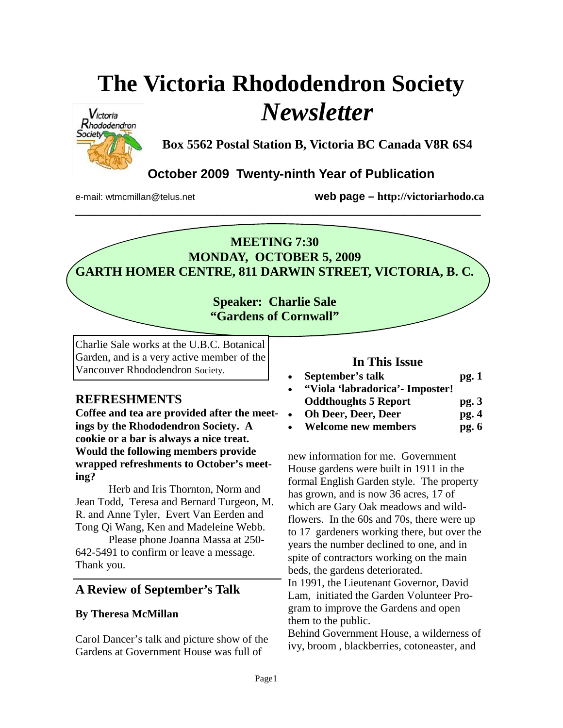# **The Victoria Rhododendron Society**  *Newsletter*



**Box 5562 Postal Station B, Victoria BC Canada V8R 6S4** 

# **October 2009 Twenty-ninth Year of Publication**

**\_\_\_\_\_\_\_\_\_\_\_\_\_\_\_\_\_\_\_\_\_\_\_\_\_\_\_\_\_\_\_\_\_\_\_\_\_\_\_\_\_\_\_\_\_\_\_\_\_\_\_\_\_\_\_\_\_\_\_\_\_\_\_** 

e-mail: wtmcmillan@telus.net **web page – http://victoriarhodo.ca**

## **MEETING 7:30 MONDAY, OCTOBER 5, 2009 GARTH HOMER CENTRE, 811 DARWIN STREET, VICTORIA, B. C.**

## **Speaker: Charlie Sale "Gardens of Cornwall"**

Charlie Sale works at the U.B.C. Botanical Garden, and is a very active member of the Vancouver Rhododendron Society.

## **REFRESHMENTS**

**Coffee and tea are provided after the meetings by the Rhododendron Society. A cookie or a bar is always a nice treat. Would the following members provide wrapped refreshments to October's meeting?** 

 Herb and Iris Thornton, Norm and Jean Todd, Teresa and Bernard Turgeon, M. R. and Anne Tyler, Evert Van Eerden and Tong Qi Wang, Ken and Madeleine Webb.

 Please phone Joanna Massa at 250- 642-5491 to confirm or leave a message. Thank you.

## **A Review of September's Talk**

#### **By Theresa McMillan**

Carol Dancer's talk and picture show of the Gardens at Government House was full of

#### **In This Issue**

- September's talk pg. 1 • **"Viola 'labradorica'- Imposter!**
- **Oddthoughts 5 Report pg. 3**
- Oh Deer, Deer, Deer pg. 4
- **Welcome new members pg. 6**

new information for me. Government House gardens were built in 1911 in the formal English Garden style. The property has grown, and is now 36 acres, 17 of which are Gary Oak meadows and wildflowers. In the 60s and 70s, there were up to 17 gardeners working there, but over the years the number declined to one, and in spite of contractors working on the main beds, the gardens deteriorated.

In 1991, the Lieutenant Governor, David Lam, initiated the Garden Volunteer Program to improve the Gardens and open them to the public.

Behind Government House, a wilderness of ivy, broom , blackberries, cotoneaster, and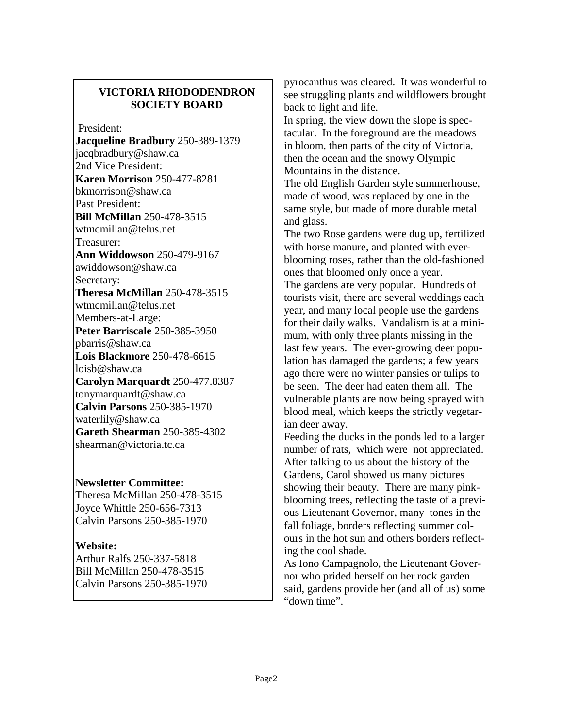### **VICTORIA RHODODENDRON SOCIETY BOARD**

President:

**Jacqueline Bradbury** 250-389-1379 jacqbradbury@shaw.ca 2nd Vice President: **Karen Morrison** 250-477-8281 bkmorrison@shaw.ca Past President: **Bill McMillan** 250-478-3515 wtmcmillan@telus.net Treasurer: **Ann Widdowson** 250-479-9167 awiddowson@shaw.ca Secretary: **Theresa McMillan** 250-478-3515 wtmcmillan@telus.net Members-at-Large: **Peter Barriscale** 250-385-3950 pbarris@shaw.ca **Lois Blackmore** 250-478-6615 loisb@shaw.ca **Carolyn Marquardt** 250-477.8387 tonymarquardt@shaw.ca **Calvin Parsons** 250-385-1970 waterlily@shaw.ca **Gareth Shearman** 250-385-4302 shearman@victoria.tc.ca

#### **Newsletter Committee:**

Theresa McMillan 250-478-3515 Joyce Whittle 250-656-7313 Calvin Parsons 250-385-1970

#### **Website:**

Arthur Ralfs 250-337-5818 Bill McMillan 250-478-3515 Calvin Parsons 250-385-1970 pyrocanthus was cleared. It was wonderful to see struggling plants and wildflowers brought back to light and life.

In spring, the view down the slope is spectacular. In the foreground are the meadows in bloom, then parts of the city of Victoria, then the ocean and the snowy Olympic Mountains in the distance.

The old English Garden style summerhouse, made of wood, was replaced by one in the same style, but made of more durable metal and glass.

The two Rose gardens were dug up, fertilized with horse manure, and planted with everblooming roses, rather than the old-fashioned ones that bloomed only once a year.

The gardens are very popular. Hundreds of tourists visit, there are several weddings each year, and many local people use the gardens for their daily walks. Vandalism is at a minimum, with only three plants missing in the last few years. The ever-growing deer population has damaged the gardens; a few years ago there were no winter pansies or tulips to be seen. The deer had eaten them all. The vulnerable plants are now being sprayed with blood meal, which keeps the strictly vegetarian deer away.

Feeding the ducks in the ponds led to a larger number of rats, which were not appreciated. After talking to us about the history of the Gardens, Carol showed us many pictures showing their beauty. There are many pinkblooming trees, reflecting the taste of a previous Lieutenant Governor, many tones in the fall foliage, borders reflecting summer colours in the hot sun and others borders reflecting the cool shade.

As Iono Campagnolo, the Lieutenant Governor who prided herself on her rock garden said, gardens provide her (and all of us) some "down time".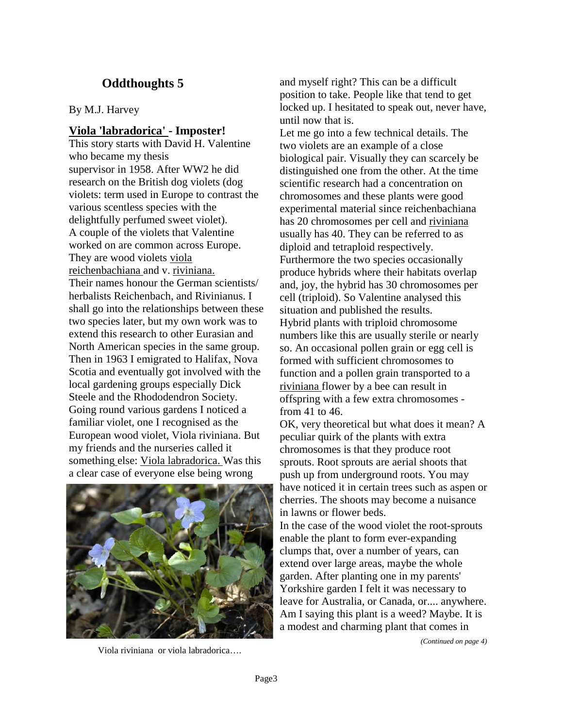## **Oddthoughts 5**

By M.J. Harvey

#### **Viola 'labradorica' - Imposter!**

This story starts with David H. Valentine who became my thesis supervisor in 1958. After WW2 he did research on the British dog violets (dog violets: term used in Europe to contrast the various scentless species with the delightfully perfumed sweet violet). A couple of the violets that Valentine worked on are common across Europe. They are wood violets viola reichenbachiana and v. riviniana. Their names honour the German scientists/ herbalists Reichenbach, and Rivinianus. I shall go into the relationships between these two species later, but my own work was to extend this research to other Eurasian and North American species in the same group. Then in 1963 I emigrated to Halifax, Nova Scotia and eventually got involved with the local gardening groups especially Dick Steele and the Rhododendron Society. Going round various gardens I noticed a familiar violet, one I recognised as the European wood violet, Viola riviniana. But my friends and the nurseries called it something else: Viola labradorica. Was this a clear case of everyone else being wrong



Viola riviniana or viola labradorica….

and myself right? This can be a difficult position to take. People like that tend to get locked up. I hesitated to speak out, never have, until now that is.

Let me go into a few technical details. The two violets are an example of a close biological pair. Visually they can scarcely be distinguished one from the other. At the time scientific research had a concentration on chromosomes and these plants were good experimental material since reichenbachiana has 20 chromosomes per cell and riviniana usually has 40. They can be referred to as diploid and tetraploid respectively. Furthermore the two species occasionally produce hybrids where their habitats overlap and, joy, the hybrid has 30 chromosomes per cell (triploid). So Valentine analysed this situation and published the results. Hybrid plants with triploid chromosome numbers like this are usually sterile or nearly so. An occasional pollen grain or egg cell is formed with sufficient chromosomes to function and a pollen grain transported to a riviniana flower by a bee can result in offspring with a few extra chromosomes from 41 to 46.

OK, very theoretical but what does it mean? A peculiar quirk of the plants with extra chromosomes is that they produce root sprouts. Root sprouts are aerial shoots that push up from underground roots. You may have noticed it in certain trees such as aspen or cherries. The shoots may become a nuisance in lawns or flower beds.

In the case of the wood violet the root-sprouts enable the plant to form ever-expanding clumps that, over a number of years, can extend over large areas, maybe the whole garden. After planting one in my parents' Yorkshire garden I felt it was necessary to leave for Australia, or Canada, or.... anywhere. Am I saying this plant is a weed? Maybe. It is a modest and charming plant that comes in

*(Continued on page 4)*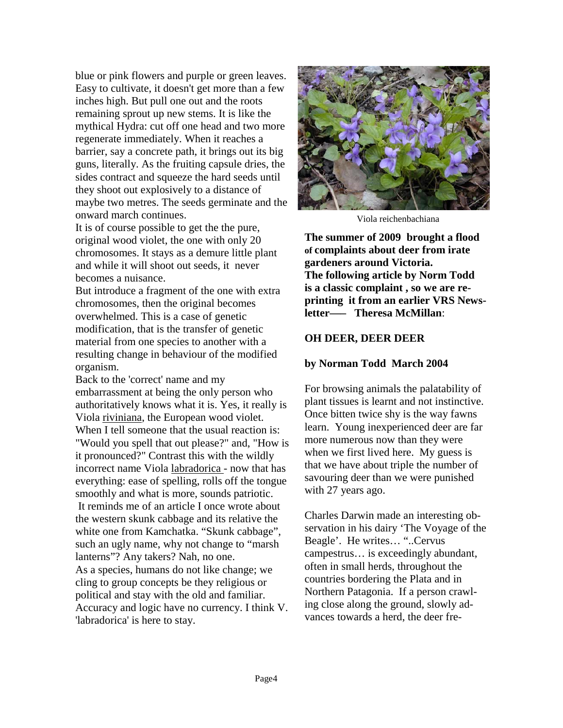blue or pink flowers and purple or green leaves. Easy to cultivate, it doesn't get more than a few inches high. But pull one out and the roots remaining sprout up new stems. It is like the mythical Hydra: cut off one head and two more regenerate immediately. When it reaches a barrier, say a concrete path, it brings out its big guns, literally. As the fruiting capsule dries, the sides contract and squeeze the hard seeds until they shoot out explosively to a distance of maybe two metres. The seeds germinate and the onward march continues.

It is of course possible to get the the pure, original wood violet, the one with only 20 chromosomes. It stays as a demure little plant and while it will shoot out seeds, it never becomes a nuisance.

But introduce a fragment of the one with extra chromosomes, then the original becomes overwhelmed. This is a case of genetic modification, that is the transfer of genetic material from one species to another with a resulting change in behaviour of the modified organism.

Back to the 'correct' name and my embarrassment at being the only person who authoritatively knows what it is. Yes, it really is Viola riviniana, the European wood violet. When I tell someone that the usual reaction is: "Would you spell that out please?" and, "How is it pronounced?" Contrast this with the wildly incorrect name Viola labradorica - now that has everything: ease of spelling, rolls off the tongue smoothly and what is more, sounds patriotic. It reminds me of an article I once wrote about the western skunk cabbage and its relative the white one from Kamchatka. "Skunk cabbage", such an ugly name, why not change to "marsh lanterns"? Any takers? Nah, no one. As a species, humans do not like change; we cling to group concepts be they religious or political and stay with the old and familiar. Accuracy and logic have no currency. I think V. 'labradorica' is here to stay.



Viola reichenbachiana

**The summer of 2009 brought a flood of complaints about deer from irate gardeners around Victoria. The following article by Norm Todd is a classic complaint , so we are reprinting it from an earlier VRS Newsletter—– Theresa McMillan**:

#### **OH DEER, DEER DEER**

#### **by Norman Todd March 2004**

For browsing animals the palatability of plant tissues is learnt and not instinctive. Once bitten twice shy is the way fawns learn. Young inexperienced deer are far more numerous now than they were when we first lived here. My guess is that we have about triple the number of savouring deer than we were punished with 27 years ago.

Charles Darwin made an interesting observation in his dairy 'The Voyage of the Beagle'. He writes… "..Cervus campestrus… is exceedingly abundant, often in small herds, throughout the countries bordering the Plata and in Northern Patagonia. If a person crawling close along the ground, slowly advances towards a herd, the deer fre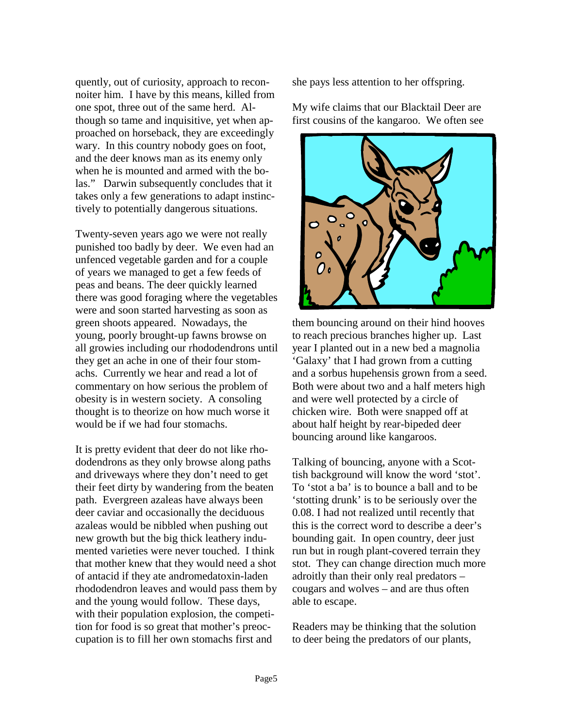quently, out of curiosity, approach to reconnoiter him. I have by this means, killed from one spot, three out of the same herd. Although so tame and inquisitive, yet when approached on horseback, they are exceedingly wary. In this country nobody goes on foot, and the deer knows man as its enemy only when he is mounted and armed with the bolas." Darwin subsequently concludes that it takes only a few generations to adapt instinctively to potentially dangerous situations.

Twenty-seven years ago we were not really punished too badly by deer. We even had an unfenced vegetable garden and for a couple of years we managed to get a few feeds of peas and beans. The deer quickly learned there was good foraging where the vegetables were and soon started harvesting as soon as green shoots appeared. Nowadays, the young, poorly brought-up fawns browse on all growies including our rhododendrons until they get an ache in one of their four stomachs. Currently we hear and read a lot of commentary on how serious the problem of obesity is in western society. A consoling thought is to theorize on how much worse it would be if we had four stomachs.

It is pretty evident that deer do not like rhododendrons as they only browse along paths and driveways where they don't need to get their feet dirty by wandering from the beaten path. Evergreen azaleas have always been deer caviar and occasionally the deciduous azaleas would be nibbled when pushing out new growth but the big thick leathery indumented varieties were never touched. I think that mother knew that they would need a shot of antacid if they ate andromedatoxin-laden rhododendron leaves and would pass them by and the young would follow. These days, with their population explosion, the competition for food is so great that mother's preoccupation is to fill her own stomachs first and

she pays less attention to her offspring.

My wife claims that our Blacktail Deer are first cousins of the kangaroo. We often see



them bouncing around on their hind hooves to reach precious branches higher up. Last year I planted out in a new bed a magnolia 'Galaxy' that I had grown from a cutting and a sorbus hupehensis grown from a seed. Both were about two and a half meters high and were well protected by a circle of chicken wire. Both were snapped off at about half height by rear-bipeded deer bouncing around like kangaroos.

Talking of bouncing, anyone with a Scottish background will know the word 'stot'. To 'stot a ba' is to bounce a ball and to be 'stotting drunk' is to be seriously over the 0.08. I had not realized until recently that this is the correct word to describe a deer's bounding gait. In open country, deer just run but in rough plant-covered terrain they stot. They can change direction much more adroitly than their only real predators – cougars and wolves – and are thus often able to escape.

Readers may be thinking that the solution to deer being the predators of our plants,